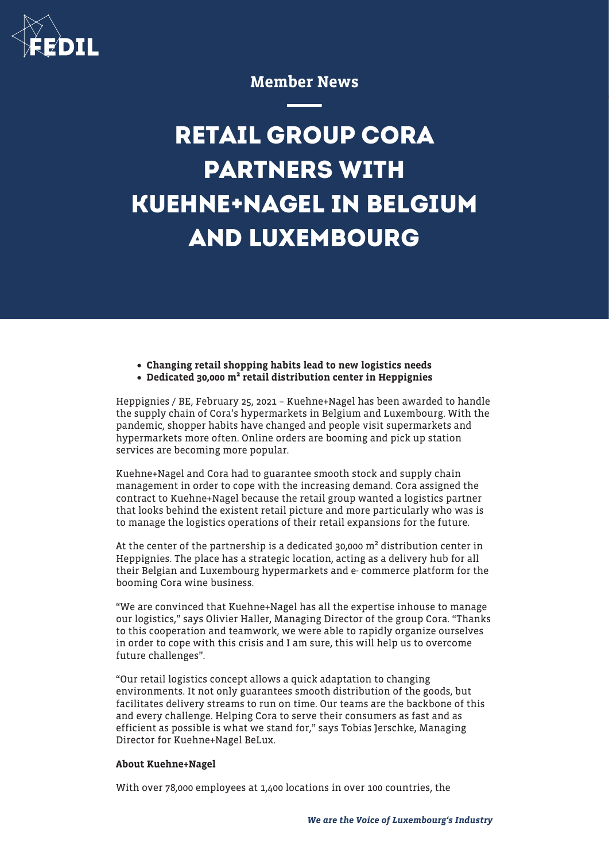

## Member News

## **RETAIL GROUP CORA PARTNERS WITH KUEHNE+NAGEL IN BELGIUM AND LUXEMBOURG**

- Changing retail shopping habits lead to new logistics needs
- Dedicated 30,000 m² retail distribution center in Heppignies

Heppignies / BE, February 25, 2021 – Kuehne+Nagel has been awarded to handle the supply chain of Cora's hypermarkets in Belgium and Luxembourg. With the pandemic, shopper habits have changed and people visit supermarkets and hypermarkets more often. Online orders are booming and pick up station services are becoming more popular.

Kuehne+Nagel and Cora had to guarantee smooth stock and supply chain management in order to cope with the increasing demand. Cora assigned the contract to Kuehne+Nagel because the retail group wanted a logistics partner that looks behind the existent retail picture and more particularly who was is to manage the logistics operations of their retail expansions for the future.

At the center of the partnership is a dedicated 30,000 m² distribution center in Heppignies. The place has a strategic location, acting as a delivery hub for all their Belgian and Luxembourg hypermarkets and e- commerce platform for the booming Cora wine business.

"We are convinced that Kuehne+Nagel has all the expertise inhouse to manage our logistics," says Olivier Haller, Managing Director of the group Cora. "Thanks to this cooperation and teamwork, we were able to rapidly organize ourselves in order to cope with this crisis and I am sure, this will help us to overcome future challenges".

"Our retail logistics concept allows a quick adaptation to changing environments. It not only guarantees smooth distribution of the goods, but facilitates delivery streams to run on time. Our teams are the backbone of this and every challenge. Helping Cora to serve their consumers as fast and as efficient as possible is what we stand for," says Tobias Jerschke, Managing Director for Kuehne+Nagel BeLux.

## About Kuehne+Nagel

With over 78,000 employees at 1,400 locations in over 100 countries, the